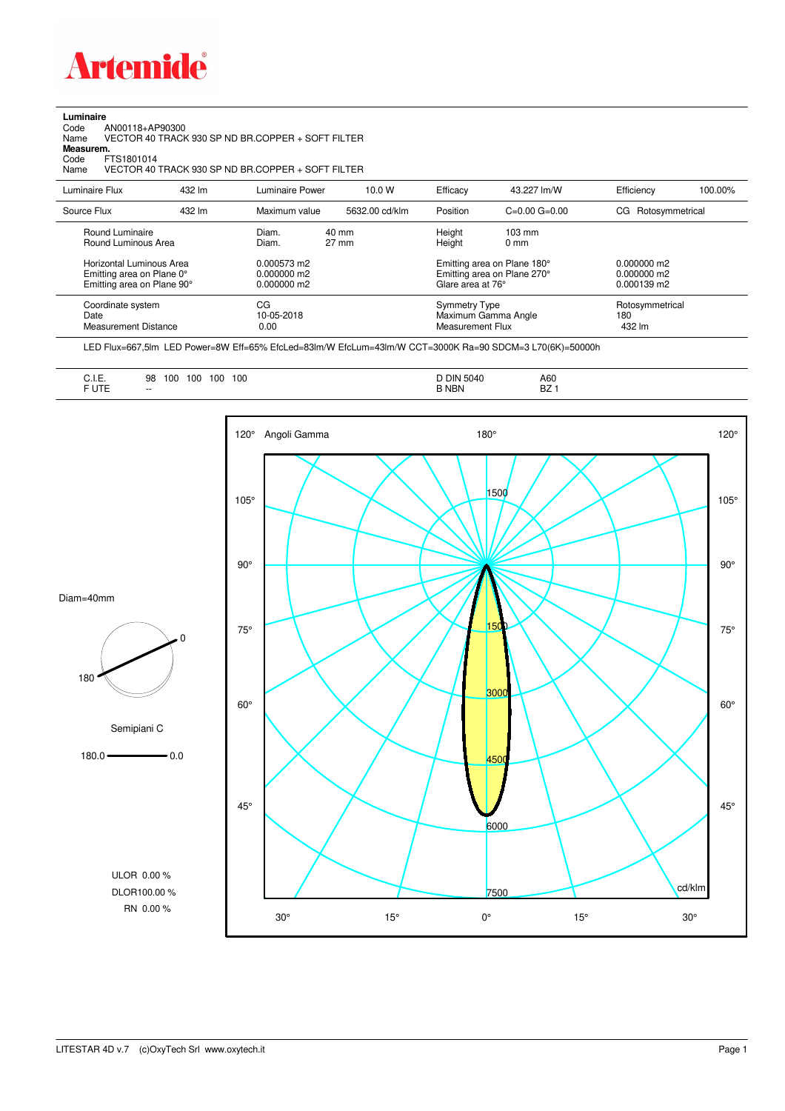

**Luminaire**<br>Code<br>Name Code AN00118+AP90300 Name VECTOR 40 TRACK 930 SP ND BR.COPPER + SOFT FILTER

**Measurem.**

Code FTS1801014<br>Name VECTOR 40 Name VECTOR 40 TRACK 930 SP ND BR.COPPER + SOFT FILTER

| Luminaire Flux                                                                                                                | 432 lm | Luminaire Power                                                 | 10.0 W                   | Efficacy                                 | 43.227 lm/W                                                                                                                               | Efficiency                       | 100.00% |
|-------------------------------------------------------------------------------------------------------------------------------|--------|-----------------------------------------------------------------|--------------------------|------------------------------------------|-------------------------------------------------------------------------------------------------------------------------------------------|----------------------------------|---------|
| Source Flux                                                                                                                   | 432 lm | Maximum value                                                   | 5632.00 cd/klm           | Position                                 | $C=0.00$ $G=0.00$                                                                                                                         | Rotosymmetrical<br>CG            |         |
| Round Luminaire<br>Round Luminous Area<br>Horizontal Luminous Area<br>Emitting area on Plane 0°<br>Emitting area on Plane 90° |        | Diam.<br>Diam.<br>0.000573 m2<br>$0.000000$ m2<br>$0.000000$ m2 | 40 mm<br>$27 \text{ mm}$ |                                          | Height<br>$103 \text{ mm}$<br>Height<br>$0 \text{ mm}$<br>Emitting area on Plane 180°<br>Emitting area on Plane 270°<br>Glare area at 76° |                                  |         |
| Coordinate system<br>Date<br><b>Measurement Distance</b>                                                                      |        | CG<br>10-05-2018<br>0.00                                        |                          | <b>Symmetry Type</b><br>Measurement Flux | Maximum Gamma Angle                                                                                                                       | Rotosymmetrical<br>180<br>432 lm |         |

LED Flux=667,5lm LED Power=8W Eff=65% EfcLed=83lm/W EfcLum=43lm/W CCT=3000K Ra=90 SDCM=3 L70(6K)=50000h